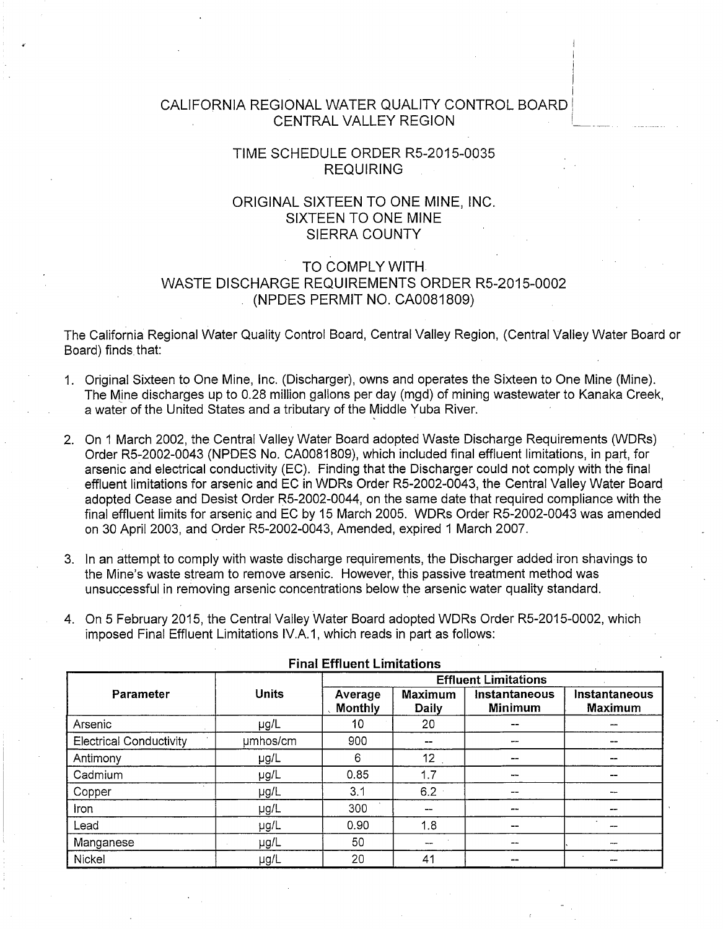## CALIFORNIA REGIONAL WATER QUALITY CONTROL BOARD! CENTRAL VALLEY REGION

I I  $\mathbf{I}$ I I

## TIME SCHEDULE ORDER R5-2015-0035 REQUIRING

## ORIGINAL SIXTEEN TO ONE MINE, INC. SIXTEEN TO ONE MINE SIERRA COUNTY

# TO COMPLY WITH WASTE DISCHARGE REQUIREMENTS ORDER R5-2015-0002 (NPDES PERMIT NO. CA0081809)

The California Regional Water Quality Control Board, Central Valley Region, (Central Valley Water Board or Board) finds that:

- 1. Original Sixteen to One Mine, Inc. (Discharger), owns and operates the Sixteen to One Mine (Mine). The Mine discharges up to 0.28 million gallons per day (mgd) of mining wastewater to Kanaka Creek, a water of the United States and a tributary of the Middle Yuba River.
- 2. On 1 March 2002, the Central Valley Water Board adopted Waste Discharge Requirements (WDRs) Order R5-2002-0043 (NPDES No. CA0081809), which included final effluent limitations, in part, for arsenic and electrical conductivity (EC). Finding that the Discharger could not comply with the final effluent limitations for arsenic and EC in WDRs Order R5-2002-0043, the Central Valley Water Board adopted Cease and Desist Order R5-2002-0044, on the same date that required compliance with the final effluent limits for arsenic and EC by 15 March 2005. WDRs Order RS-2002-0043 was amended on 30 April 2003, and Order R5-2002-0043, Amended, expired 1 March 2007.
- 3. In an attempt to comply with waste discharge requirements, the Discharger added iron shavings to the Mine's waste stream to remove arsenic. However, this passive treatment method was unsuccessful in removing arsenic concentrations below the arsenic water quality standard.
- 4. On 5 February 2015, the Central Valley Water Board adopted WDRs Order R5-2015-0002, which imposed Final Effluent Limitations IV.A.1, which reads in part as follows:

| Parameter                      | <b>Units</b> | <b>Effluent Limitations</b> |                                |                                 |                                 |  |  |
|--------------------------------|--------------|-----------------------------|--------------------------------|---------------------------------|---------------------------------|--|--|
|                                |              | Average<br>Monthly          | <b>Maximum</b><br><b>Daily</b> | Instantaneous<br><b>Minimum</b> | Instantaneous<br><b>Maximum</b> |  |  |
| Arsenic                        | µg/L         | 10                          | 20                             | --                              | --                              |  |  |
| <b>Electrical Conductivity</b> | umhos/cm     | 900                         | --                             | ---                             | --                              |  |  |
| Antimony                       | $\mu$ g/L    | 6                           | 12 <sub>2</sub>                | --                              | --                              |  |  |
| Cadmium                        | µg/L         | 0.85                        | 1.7                            |                                 | --                              |  |  |
| Copper                         | µg/L         | 3.1                         | 6.2                            | --                              | سوهما                           |  |  |
| <b>Iron</b>                    | µg/L         | 300                         | $\cdots$                       | --                              | --                              |  |  |
| Lead                           | µg/L         | 0.90                        | 1.8                            | --                              | --                              |  |  |
| Manganese                      | µg/L         | 50                          | $\overline{\phantom{a}}$       |                                 | --                              |  |  |
| Nickel                         | µg/L         | 20                          | 41                             | --                              | --                              |  |  |

#### Final Effluent Limitations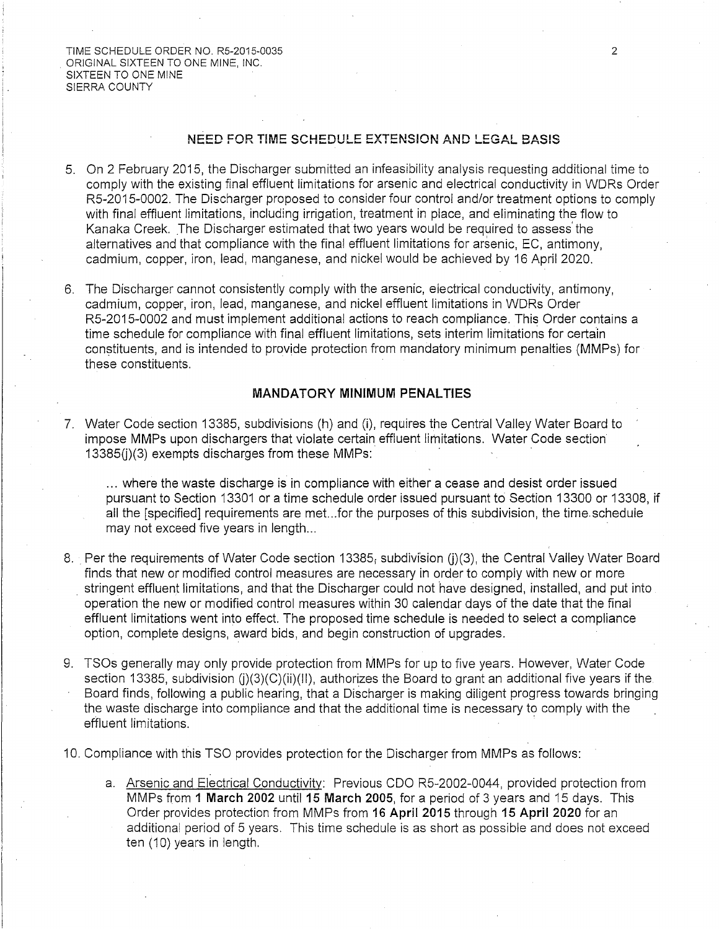TIME SCHEDULE ORDER NO. R5-2015-0035 ORIGINAL SIXTEEN TO ONE MINE, INC. SIXTEEN TO ONE MINE SIERRA COUNTY

### NEED FOR TIME SCHEDULE EXTENSION AND LEGAL BASIS

- 5. On 2 February 2015, the Discharger submitted an infeasibility analysis requesting additional time to comply with the existing final effluent limitations for arsenic and electrical conductivity in WDRs Order R5-2015-0002. The Discharger proposed to consider four control and/or treatment options to comply with final effluent limitations, including irrigation, treatment in place, and eliminating the flow to Kanaka Creek. The Discharger estimated that two years would be required to assess· the alternatives and that compliance with the final effluent limitations for arsenic, EC, antimony, cadmium, copper, iron, lead, manganese, and nickel would be achieved by 16 April 2020.
- 6. The Discharger cannot consistently comply with the arsenic, electrical conductivity, antimony, cadmium, copper, iron, lead, manganese, and nickel effluent limitations in WDRs Order R5-2015-0002 and must implement additional actions to reach compliance. This Order contains a time schedule for compliance with final effluent limitations, sets interim limitations for certain constituents, and is intended to provide protection from mandatory minimum penalties (MMPs) for these constituents.

### **MANDATORY MINIMUM PENALTIES**

7. Water Code section 13385, subdivisions (h) and (i), requires the Central Valley Water Board to impose MMPs upon dischargers that violate certain effluent limitations. Water Code section 13385(i)(3) exempts discharges from these MMPs:

... where the waste discharge is in compliance with either a cease and desist order issued pursuant to Section 13301 or a time schedule order issued pursuant to Section 13300 or 13308, if all the [specified] requirements are met...for the purposes of this subdivision, the time schedule may not exceed five years in length...

- 8. Per the requirements of Water Code section 13385; subdivision (i)(3), the Central Valley Water Board finds that new or modified control measures are necessary in order to comply with new or more . stringent effluent limitations, and that the Discharger could not have designed, installed, and put into operation the new or modified control measures within 30 calendar days of the date that the final effluent limitations went into effect. The proposed time schedule is needed to select a compliance option, complete designs, award bids, and begin construction of upgrades.
- 9. TSOs generally may only provide protection from MMPs for up to five years. However, Water Code section 13385, subdivision  $(i)(3)(C)(ii)(II)$ , authorizes the Board to grant an additional five years if the Board finds, following a public hearing, that a Discharger is making diligent progress towards bringing the waste discharge into compliance and that the additional time is necessary to comply with the effluent limitations.

10. Compliance with this TSO provides protection for the Discharger from MMPs as follows:

a. Arsenic and Electrical Conductivity: Previous COO R5-2002-0044, provided protection from MMPs from 1 March 2002 until 15 March 2005, for a period of 3 years and 15 days. This Order provides protection from MMPs from 16 April 2015 through 15 April 2020 for an additional period of 5 years. This time schedule is as short as possible and does not exceed ten (10) years in length.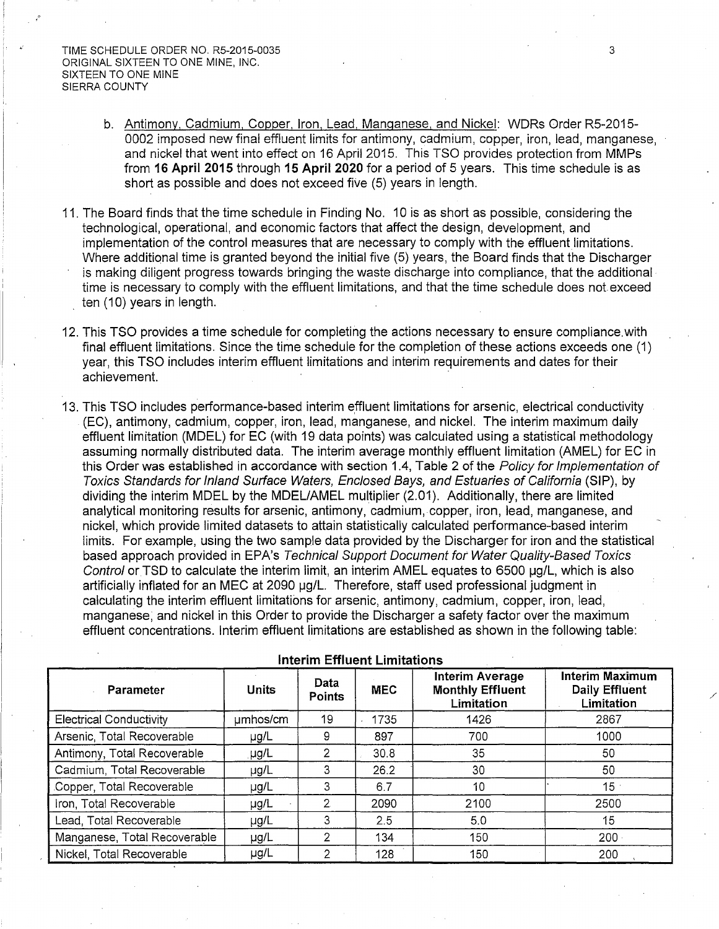- b. Antimony, Cadmium, Copper, Iron, Lead, Manganese, and Nickel: WDRs Order R5-2015- 0002 imposed new final effluent limits for antimony, cadmium, copper, iron, lead, manganese, and nickel that went into effect on 16 April 2015. This TSO provides protection from MMPs from 16 April 2015 through 15 April 2020 for a period of 5 years. This time schedule is as short as possible and does not exceed five (5) years in length.
- 11. The Board finds that the time schedule in Finding No. 10 is as short as possible, considering the technological, operational, and economic factors that affect the design, development, and implementation of the control measures that are necessary to comply with the effluent limitations. Where additional time is granted beyond the initial five (5) years, the Board finds that the Discharger is making diligent progress towards bringing the waste discharge into compliance, that the additional time is necessary to comply with the effluent limitations, and that the time schedule does not exceed ten (10) years in length.
- 12. This TSO provides a time schedule for completing the actions necessary to ensure compliance. with final effluent limitations. Since the time schedule for the completion of these actions exceeds one (1) year, this TSO includes interim effluent limitations and interim requirements and dates for their achievement.
- 13. This TSO includes performance-based interim effluent limitations for arsenic, electrical conductivity (EC), antimony, cadmium, copper, iron, lead, manganese, and nickel. The interim maximum daily effluent limitation (MDEL) for EC (with 19 data points) was calculated using a statistical methodology assuming normally distributed data. The interim average monthly effluent limitation (AMEL) for EC in this Order was established in accordance with section 1.4, Table 2 of the Policy for Implementation of Taxies Standards for Inland Surface Waters, Enclosed Bays, and Estuaries of California (SIP), by dividing the interim MDEL by the MDEL/AMEL multiplier (2.01). Additionally, there are limited analytical monitoring results for arsenic, antimony, cadmium, copper, iron, lead, manganese, and nickel, which provide limited datasets to attain statistically calculated performance-based interim limits. For example, using the two sample data provided by the Discharger for iron and the statistical based approach provided in EPA's Technical Support Document for Water Quality-Based Toxics Control or TSD to calculate the interim limit, an interim AMEL equates to 6500 µg/L, which is also artificially inflated for an MEC at 2090 µg/L. Therefore, staff used professional judgment in calculating the interim effluent limitations for arsenic, antimony, cadmium, copper, iron, lead, manganese; and nickel in this Order to provide the Discharger a safety factor over the maximum effluent concentrations. Interim effluent limitations are established as shown in the following table:

| <b>Parameter</b>               | <b>Units</b> | Data<br>Points | <b>MEC</b> | <b>Interim Average</b><br><b>Monthly Effluent</b><br>Limitation | <b>Interim Maximum</b><br><b>Daily Effluent</b><br>Limitation |  |  |  |
|--------------------------------|--------------|----------------|------------|-----------------------------------------------------------------|---------------------------------------------------------------|--|--|--|
| <b>Electrical Conductivity</b> | umhos/cm     | 19             | 1735       | 1426                                                            | 2867                                                          |  |  |  |
| Arsenic, Total Recoverable     | $\mu$ g/L    | 9              | 897        | 700                                                             | 1000                                                          |  |  |  |
| Antimony, Total Recoverable    | .µg/L        |                | 30.8       | 35                                                              | 50                                                            |  |  |  |
| Cadmium, Total Recoverable     | $\mu$ g/L    | 3              | 26.2       | 30                                                              | 50                                                            |  |  |  |
| Copper, Total Recoverable      | $\mu$ g/L    | 3              | 6.7        | 10                                                              | 15 <sup>°</sup>                                               |  |  |  |
| Iron, Total Recoverable        | $\mu$ g/L    | $\mathbf{2}$   | 2090       | 2100                                                            | 2500                                                          |  |  |  |
| Lead, Total Recoverable        | $\mu$ g/L    | 3              | 2.5        | 5.0                                                             | 15                                                            |  |  |  |
| Manganese, Total Recoverable   | $\mu$ g/L    | າ              | 134        | 150                                                             | $200 -$                                                       |  |  |  |
| Nickel, Total Recoverable      | µg/L         | っ              | 128        | 150                                                             | 200                                                           |  |  |  |

Interim Effluent Limitations

/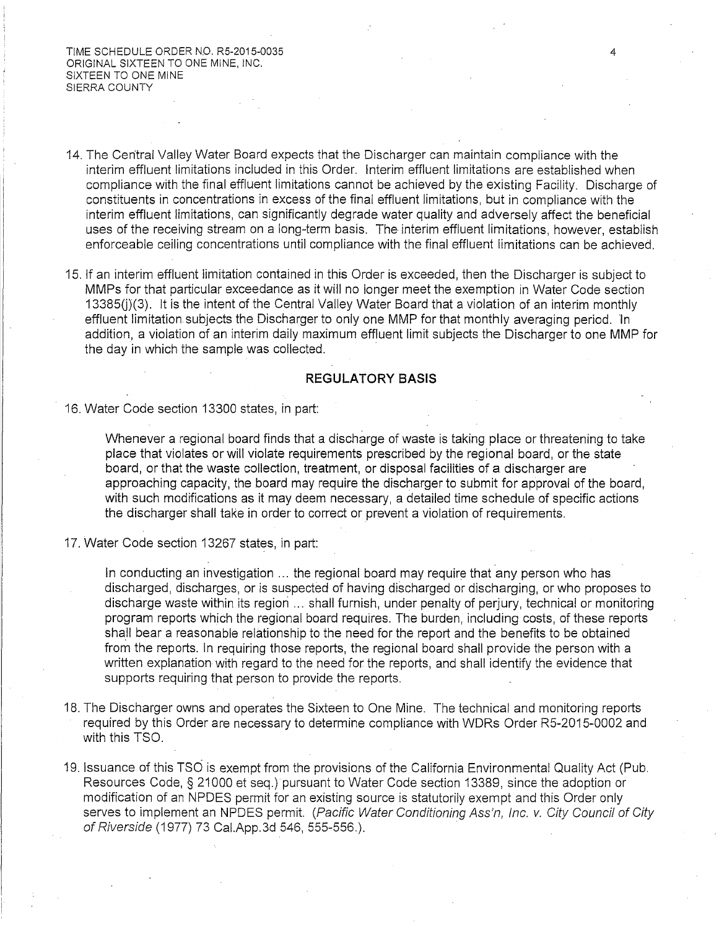TIME SCHEDULE ORDER NO. R5-2015-0035 ORIGINAL SIXTEEN TO ONE MINE, INC. SIXTEEN TO ONE MINE SIERRA COUNTY

- 14. The Central Valley Water Board expects that the Discharger can maintain compliance with the interim effluent limitations included in this Order. Interim effluent limitations are established when compliance with the final effluent limitations cannot be achieved by the existing Facility. Discharge of constituents in concentrations in excess of the final effluent limitations, but in compliance with the interim effluent limitations, can significantly degrade water quality and adversely affect the beneficial uses of the receiving stream on a long-term basis. The interim effluent limitations, however, establish enforceable ceiling concentrations until compliance with the final effluent limitations can be achieved.
- 15. If an interim effluent limitation contained in this Order is exceeded, then the Discharger is subject to MMPs for that particular exceedance as it will no longer meet the exemption in Water Code section  $13385(j)(3)$ . It is the intent of the Central Valley Water Board that a violation of an interim monthly effluent limitation subjects the Discharger to only one MMP for that monthly averaging period. 'In addition, a violation of an interim daily maximum effluent limit subjects the Discharger to one MMP for the day in which the sample was collected.

### **REGULATORY BASIS**

### 16. Water Code section 13300 states, in part:

Whenever a regional board finds that a discharge of waste is taking place or threatening to take place that violates or will violate requirements prescribed by the regional board, or the state board, or that the waste collection, treatment, or disposal facilities of a discharger are approaching capacity, the board may require the discharger to submit for approval of the board, with such modifications as it may deem necessary, a detailed time schedule of specific actions the discharger shall take in order to correct or prevent a violation of requirements.

17. Water Code section 13267 states, in part:

In conducting an investigation ... the regional board may require that any person who has discharged, discharges, or is suspected of having discharged or discharging, or who proposes to discharge waste within its region ... shall furnish, under penalty of perjury, technical or monitoring program reports which the regional board requires. The burden, including costs, of these reports shall bear a reasonable relationship to the need for the report and the benefits to be obtained from the reports. In requiring those reports, the regional board shall provide the person with a written explanation with regard to the need for the reports, and shall identify the evidence that supports requiring that person to provide the reports.

- 18. The Discharger owns and operates the Sixteen to One Mine. The technical and monitoring reports required by this Order are necessary to determine compliance with WDRs Order R5-2015-0002 and with this TSO.
- 19. Issuance of this TSO is exempt from the provisions of the California Environmental Quality Act (Pub. Resources Code, § 21000 et seq.) pursuant to Water Code section 13389, since the adoption or modification of an NPDES permit for an existing source is statutorily exempt and this Order only serves to implement an NPDES permit. (Pacific Water Conditioning Ass'n, Inc. v. City Council of City of Riverside (1977) 73 Cai.App.3d 546, 555-556.).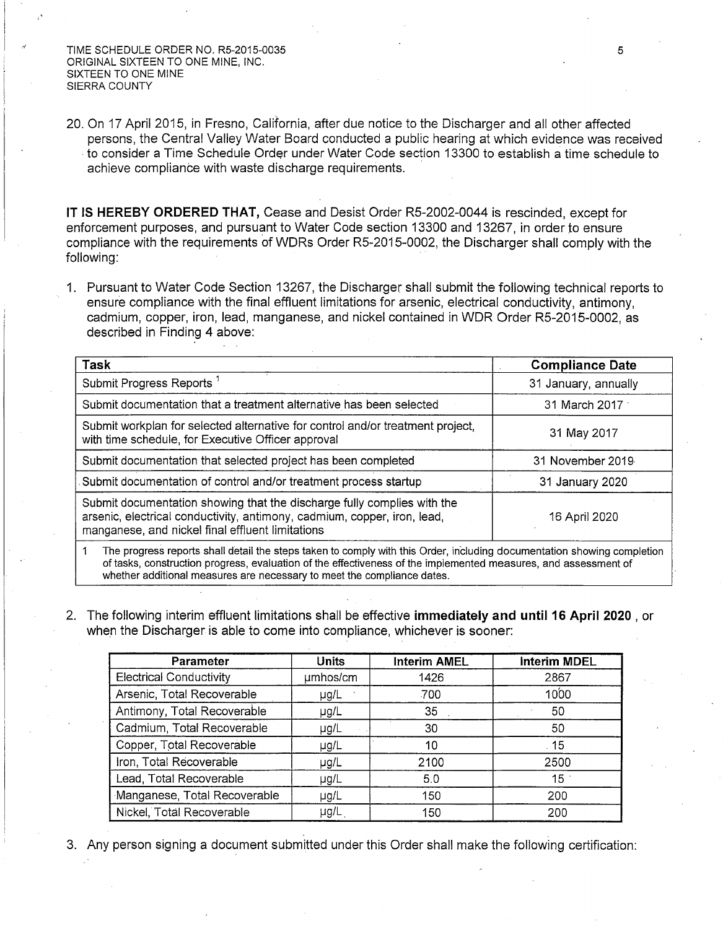TIME SCHEDULE ORDER NO. R5-2015-0035 ORIGINAL SIXTEEN TO ONE MINE, INC. SIXTEEN TO ONE MINE SIERRA COUNTY

20. On 17 April 2015, in Fresno, California, after due notice to the Discharger and all other affected persons, the Central Valley Water Board conducted a public hearing at which evidence was received to consider a Time Schedule Order under Water Code section 13300 to establish a time schedule to achieve compliance with waste discharge requirements.

**IT IS HEREBY ORDERED THAT,** Cease and Desist Order RS-2002-0044 is rescinded, except for enforcement purposes, and pursuant to Water Code section 13300 and 13267, in order to ensure compliance with the requirements of WDRs Order RS-2015-0002, the Discharger shall comply with the following:

1. Pursuant to Water Code Section 13267, the Discharger shall submit the following technical reports to ensure compliance with the final effluent limitations for arsenic, electrical conductivity, antimony, cadmium, copper, iron, lead, manganese, and nickel contained in WDR Order RS-2015-0002, as described in Finding 4 above:

| Task                                                                                                                                                                                                                     | <b>Compliance Date</b> |  |  |  |
|--------------------------------------------------------------------------------------------------------------------------------------------------------------------------------------------------------------------------|------------------------|--|--|--|
| Submit Progress Reports <sup>1</sup>                                                                                                                                                                                     | 31 January, annually   |  |  |  |
| Submit documentation that a treatment alternative has been selected                                                                                                                                                      | 31 March 2017          |  |  |  |
| Submit workplan for selected alternative for control and/or treatment project,<br>with time schedule, for Executive Officer approval                                                                                     | 31 May 2017            |  |  |  |
| Submit documentation that selected project has been completed                                                                                                                                                            | 31 November 2019       |  |  |  |
| Submit documentation of control and/or treatment process startup                                                                                                                                                         | 31 January 2020        |  |  |  |
| Submit documentation showing that the discharge fully complies with the<br>arsenic, electrical conductivity, antimony, cadmium, copper, iron, lead,<br>16 April 2020<br>manganese, and nickel final effluent limitations |                        |  |  |  |
| The progress reports shall detail the steps taken to comply with this Order, including documentation showing completion                                                                                                  |                        |  |  |  |

of tasks, construction progress, evaluation of the effectiveness of the implemented measures, and assessment of whether additional measures are necessary to meet the compliance dates.

2. The following interim effluent limitations shall be effective **immediately and until 16 April 2020** , or when the Discharger is able to come into compliance, whichever is sooner:

| Parameter                      | <b>Units</b> | <b>Interim AMEL</b> | <b>Interim MDEL</b> |
|--------------------------------|--------------|---------------------|---------------------|
| <b>Electrical Conductivity</b> | umhos/cm     | 1426                | 2867                |
| Arsenic, Total Recoverable     | $\mu$ g/L    | .700                | 1000                |
| Antimony, Total Recoverable    | $\mu$ g/L    | 35                  | 50                  |
| Cadmium, Total Recoverable     | µg/L         | 30                  | 50                  |
| Copper, Total Recoverable      | µg/L         | 10                  | .15                 |
| Iron, Total Recoverable        | µg/L         | 2100                | 2500                |
| Lead, Total Recoverable        | $\mu$ g/L    | 5.0                 | 15 <sup>1</sup>     |
| Manganese, Total Recoverable   | µg/L         | 150                 | 200                 |
| Nickel, Total Recoverable      | µg/L         | 150                 | 200                 |

3. Any person signing a document submitted under this Order shall make the following certification: